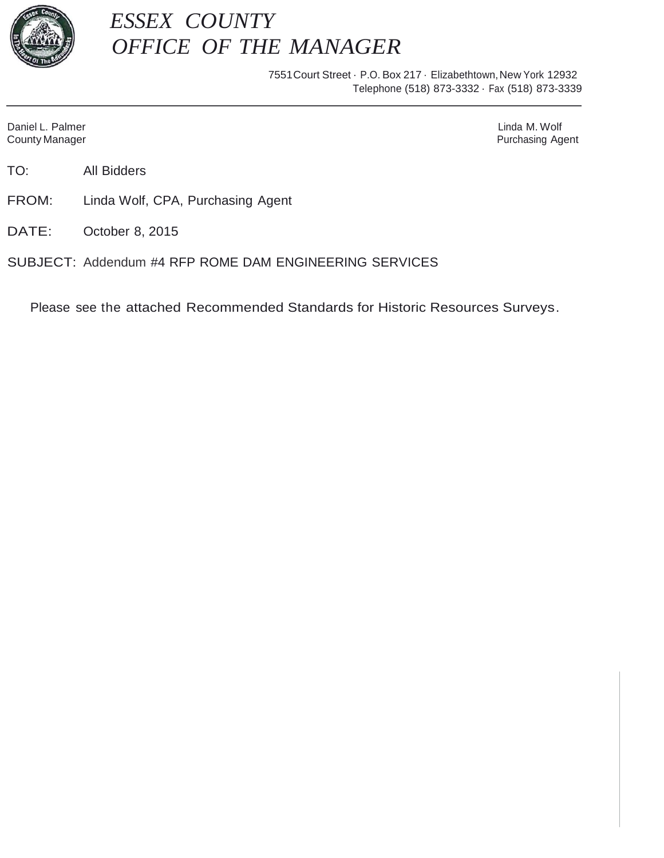

# *ESSEX COUNTY OFFICE OF THE MANAGER*

7551 Court Street · P.O. Box 217 · Elizabethtown, New York 12932 Telephone (518) 873-3332 · Fax (518) 873-3339

Daniel L. Palmer Linda M. Wolf Linda M. Wolf Linda M. Wolf Linda M. Wolf Linda M. Wolf Linda M. Wolf Linda M. Wolf Linda M. Wolf Linda M. Wolf Linda M. Wolf Linda M. Wolf Linda M. Wolf Linda M. Wolf Linda M. Wolf Linda M.

County Manager **Purchasing Agent Purchasing Agent** 

TO: All Bidders

FROM: Linda Wolf, CPA, Purchasing Agent

DATE: October 8, 2015

SUBJECT: Addendum #4 RFP ROME DAM ENGINEERING SERVICES

Please see the attached Recommended Standards for Historic Resources Surveys.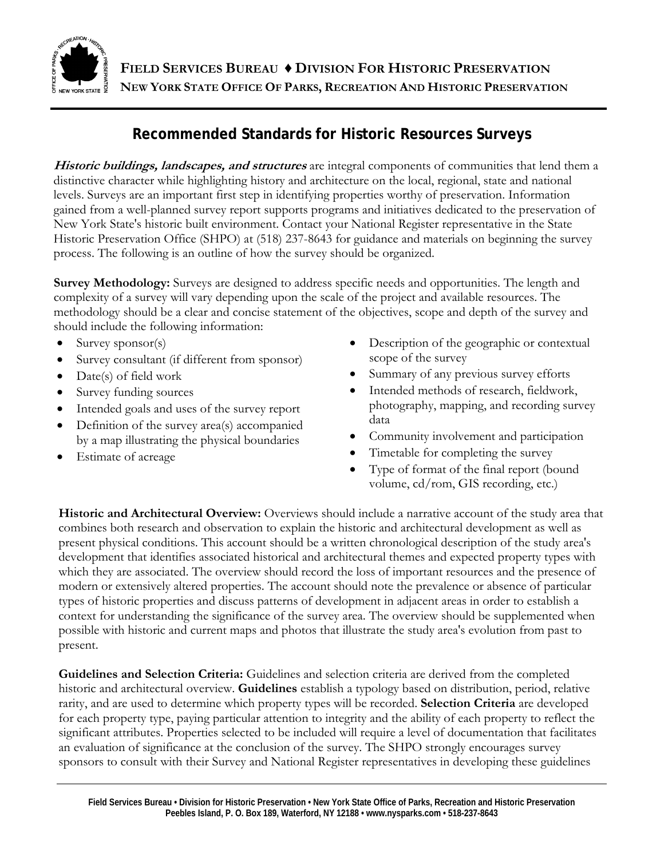

**FIELD SERVICES BUREAU ♦ DIVISION FOR HISTORIC PRESERVATION NEW YORK STATE OFFICE OF PARKS, RECREATION AND HISTORIC PRESERVATION**

# **Recommended Standards for Historic Resources Surveys**

**Historic buildings, landscapes, and structures** are integral components of communities that lend them a distinctive character while highlighting history and architecture on the local, regional, state and national levels. Surveys are an important first step in identifying properties worthy of preservation. Information gained from a well-planned survey report supports programs and initiatives dedicated to the preservation of New York State's historic built environment. Contact your National Register representative in the State Historic Preservation Office (SHPO) at (518) 237-8643 for guidance and materials on beginning the survey process. The following is an outline of how the survey should be organized.

**Survey Methodology:** Surveys are designed to address specific needs and opportunities. The length and complexity of a survey will vary depending upon the scale of the project and available resources. The methodology should be a clear and concise statement of the objectives, scope and depth of the survey and should include the following information:

- $\bullet$  Survey sponsor(s)
- Survey consultant (if different from sponsor)
- Date(s) of field work
- Survey funding sources
- Intended goals and uses of the survey report
- Definition of the survey area(s) accompanied by a map illustrating the physical boundaries
- Estimate of acreage
- Description of the geographic or contextual scope of the survey
- Summary of any previous survey efforts
- Intended methods of research, fieldwork, photography, mapping, and recording survey data
- Community involvement and participation
- Timetable for completing the survey
- Type of format of the final report (bound volume, cd/rom, GIS recording, etc.)

**Historic and Architectural Overview:** Overviews should include a narrative account of the study area that combines both research and observation to explain the historic and architectural development as well as present physical conditions. This account should be a written chronological description of the study area's development that identifies associated historical and architectural themes and expected property types with which they are associated. The overview should record the loss of important resources and the presence of modern or extensively altered properties. The account should note the prevalence or absence of particular types of historic properties and discuss patterns of development in adjacent areas in order to establish a context for understanding the significance of the survey area. The overview should be supplemented when possible with historic and current maps and photos that illustrate the study area's evolution from past to present.

**Guidelines and Selection Criteria:** Guidelines and selection criteria are derived from the completed historic and architectural overview. **Guidelines** establish a typology based on distribution, period, relative rarity, and are used to determine which property types will be recorded. **Selection Criteria** are developed for each property type, paying particular attention to integrity and the ability of each property to reflect the significant attributes. Properties selected to be included will require a level of documentation that facilitates an evaluation of significance at the conclusion of the survey. The SHPO strongly encourages survey sponsors to consult with their Survey and National Register representatives in developing these guidelines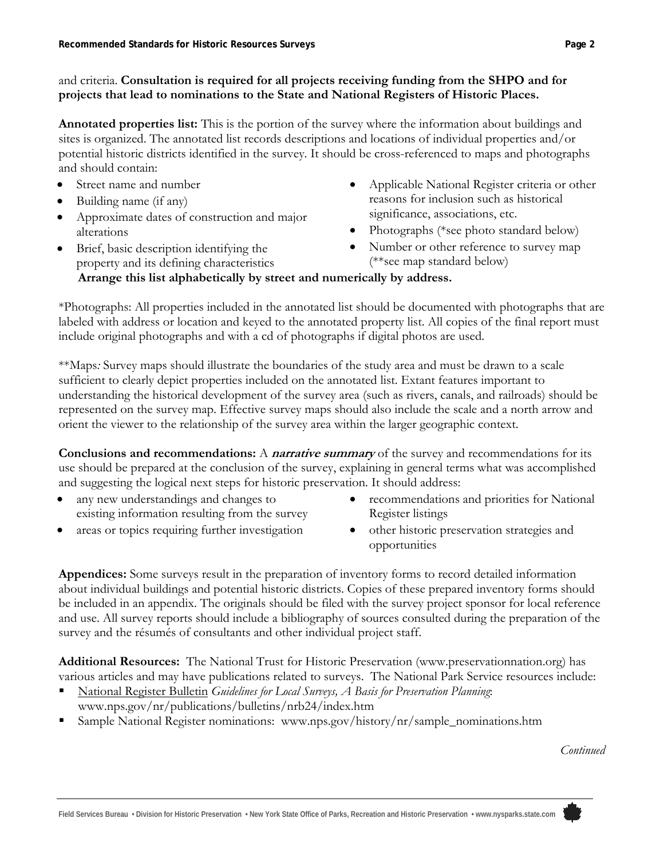# and criteria. **Consultation is required for all projects receiving funding from the SHPO and for projects that lead to nominations to the State and National Registers of Historic Places.**

**Annotated properties list:** This is the portion of the survey where the information about buildings and sites is organized. The annotated list records descriptions and locations of individual properties and/or potential historic districts identified in the survey. It should be cross-referenced to maps and photographs and should contain:

- Street name and number
- Building name (if any)
- Approximate dates of construction and major alterations

Brief, basic description identifying the

- Applicable National Register criteria or other reasons for inclusion such as historical significance, associations, etc.
- Photographs (\*see photo standard below)
- Number or other reference to survey map (\*\*see map standard below)

#### property and its defining characteristics **Arrange this list alphabetically by street and numerically by address.**

\*Photographs: All properties included in the annotated list should be documented with photographs that are labeled with address or location and keyed to the annotated property list. All copies of the final report must include original photographs and with a cd of photographs if digital photos are used.

\*\*Maps*:* Survey maps should illustrate the boundaries of the study area and must be drawn to a scale sufficient to clearly depict properties included on the annotated list. Extant features important to understanding the historical development of the survey area (such as rivers, canals, and railroads) should be represented on the survey map. Effective survey maps should also include the scale and a north arrow and orient the viewer to the relationship of the survey area within the larger geographic context.

**Conclusions and recommendations:** A **narrative summary** of the survey and recommendations for its use should be prepared at the conclusion of the survey, explaining in general terms what was accomplished and suggesting the logical next steps for historic preservation. It should address:

- any new understandings and changes to existing information resulting from the survey
- areas or topics requiring further investigation
- recommendations and priorities for National Register listings
- other historic preservation strategies and opportunities

**Appendices:** Some surveys result in the preparation of inventory forms to record detailed information about individual buildings and potential historic districts. Copies of these prepared inventory forms should be included in an appendix. The originals should be filed with the survey project sponsor for local reference and use. All survey reports should include a bibliography of sources consulted during the preparation of the survey and the résumés of consultants and other individual project staff.

**Additional Resources:** The National Trust for Historic Preservation (www.preservationnation.org) has various articles and may have publications related to surveys. The National Park Service resources include:

- National Register Bulletin *Guidelines for Local Surveys, A Basis for Preservation Planning*: www.nps.gov/nr/publications/bulletins/nrb24/index.htm
- Sample National Register nominations: www.nps.gov/history/nr/sample\_nominations.htm

*Continued*